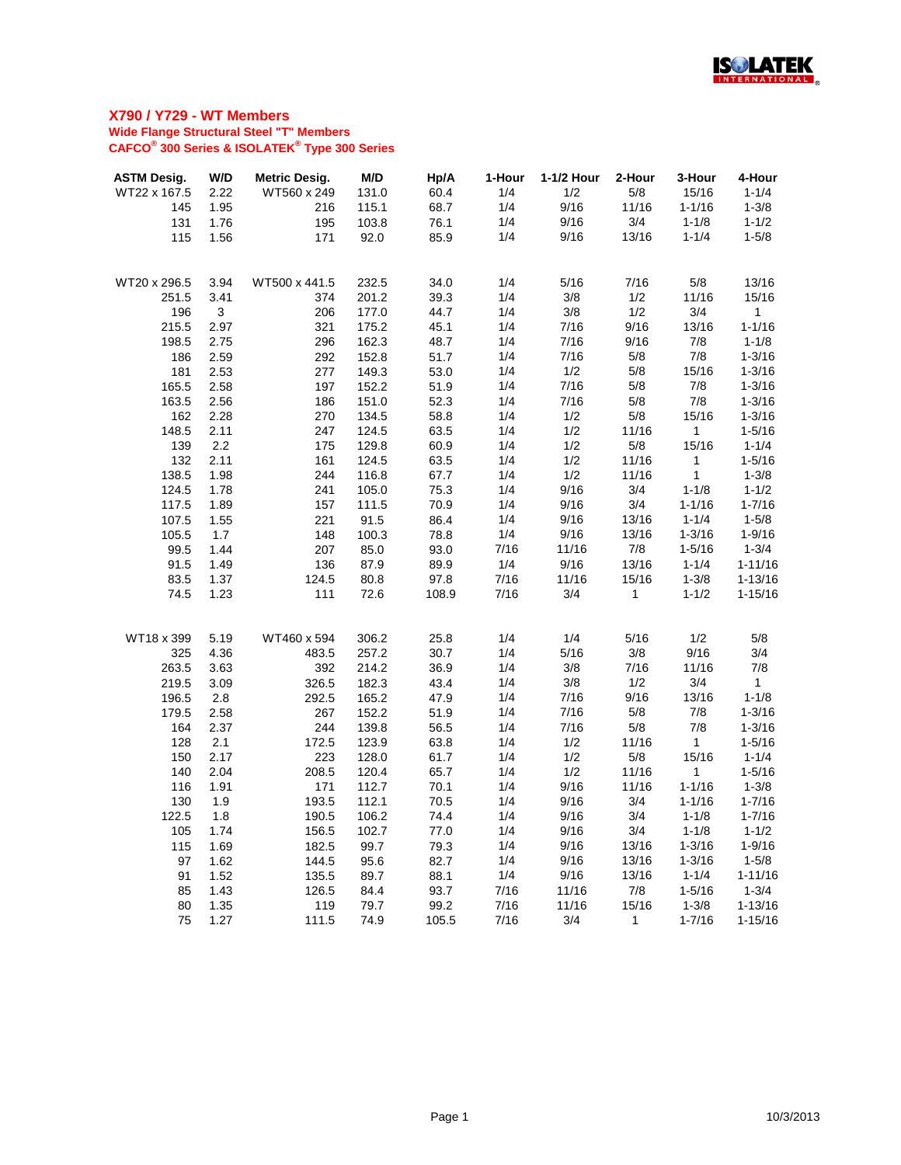

| <b>ASTM Desig.</b> | W/D  | <b>Metric Desig.</b> | M/D   | Hp/A  | 1-Hour | 1-1/2 Hour | 2-Hour      | 3-Hour       | 4-Hour       |
|--------------------|------|----------------------|-------|-------|--------|------------|-------------|--------------|--------------|
| WT22 x 167.5       | 2.22 | WT560 x 249          | 131.0 | 60.4  | 1/4    | 1/2        | 5/8         | 15/16        | $1 - 1/4$    |
| 145                | 1.95 | 216                  | 115.1 | 68.7  | 1/4    | 9/16       | 11/16       | $1 - 1/16$   | $1 - 3/8$    |
| 131                | 1.76 | 195                  | 103.8 | 76.1  | 1/4    | 9/16       | 3/4         | $1 - 1/8$    | $1 - 1/2$    |
| 115                | 1.56 | 171                  | 92.0  | 85.9  | 1/4    | 9/16       | 13/16       | $1 - 1/4$    | $1 - 5/8$    |
|                    |      |                      |       |       |        |            |             |              |              |
| WT20 x 296.5       | 3.94 | WT500 x 441.5        | 232.5 | 34.0  | 1/4    | 5/16       | 7/16        | 5/8          | 13/16        |
| 251.5              | 3.41 | 374                  | 201.2 | 39.3  | 1/4    | 3/8        | 1/2         | 11/16        | 15/16        |
| 196                | 3    | 206                  | 177.0 | 44.7  | 1/4    | 3/8        | 1/2         | 3/4          | 1            |
| 215.5              | 2.97 | 321                  | 175.2 | 45.1  | 1/4    | 7/16       | 9/16        | 13/16        | $1 - 1/16$   |
| 198.5              | 2.75 | 296                  | 162.3 | 48.7  | 1/4    | 7/16       | 9/16        | 7/8          | $1 - 1/8$    |
| 186                | 2.59 | 292                  | 152.8 | 51.7  | 1/4    | 7/16       | 5/8         | 7/8          | $1 - 3/16$   |
| 181                | 2.53 | 277                  | 149.3 | 53.0  | 1/4    | 1/2        | 5/8         | 15/16        | $1 - 3/16$   |
| 165.5              | 2.58 | 197                  | 152.2 | 51.9  | 1/4    | 7/16       | 5/8         | 7/8          | $1 - 3/16$   |
| 163.5              | 2.56 | 186                  | 151.0 | 52.3  | 1/4    | 7/16       | 5/8         | 7/8          | $1 - 3/16$   |
| 162                | 2.28 | 270                  | 134.5 | 58.8  | 1/4    | 1/2        | 5/8         | 15/16        | $1 - 3/16$   |
| 148.5              | 2.11 | 247                  | 124.5 | 63.5  | 1/4    | 1/2        | 11/16       | $\mathbf{1}$ | $1 - 5/16$   |
| 139                | 2.2  | 175                  | 129.8 | 60.9  | 1/4    | 1/2        | 5/8         | 15/16        | $1 - 1/4$    |
| 132                | 2.11 | 161                  | 124.5 | 63.5  | 1/4    | 1/2        | 11/16       | $\mathbf{1}$ | $1 - 5/16$   |
| 138.5              | 1.98 | 244                  | 116.8 | 67.7  | 1/4    | 1/2        | 11/16       | $\mathbf{1}$ | $1 - 3/8$    |
| 124.5              | 1.78 | 241                  | 105.0 | 75.3  | 1/4    | 9/16       | 3/4         | $1 - 1/8$    | $1 - 1/2$    |
| 117.5              | 1.89 | 157                  | 111.5 | 70.9  | 1/4    | 9/16       | 3/4         | $1 - 1/16$   | $1 - 7/16$   |
| 107.5              | 1.55 | 221                  | 91.5  | 86.4  | 1/4    | 9/16       | 13/16       | $1 - 1/4$    | $1 - 5/8$    |
| 105.5              | 1.7  | 148                  | 100.3 | 78.8  | 1/4    | 9/16       | 13/16       | $1 - 3/16$   | $1 - 9/16$   |
| 99.5               | 1.44 | 207                  | 85.0  | 93.0  | 7/16   | 11/16      | 7/8         | $1 - 5/16$   | $1 - 3/4$    |
| 91.5               | 1.49 | 136                  | 87.9  | 89.9  | 1/4    | 9/16       | 13/16       | $1 - 1/4$    | $1 - 11/16$  |
| 83.5               | 1.37 | 124.5                | 80.8  | 97.8  | 7/16   | 11/16      | 15/16       | $1 - 3/8$    | $1 - 13/16$  |
| 74.5               | 1.23 | 111                  | 72.6  | 108.9 | 7/16   | 3/4        | $\mathbf 1$ | $1 - 1/2$    | $1 - 15/16$  |
|                    |      |                      |       |       |        |            |             |              |              |
| WT18 x 399         | 5.19 | WT460 x 594          | 306.2 | 25.8  | 1/4    | 1/4        | 5/16        | 1/2          | 5/8          |
| 325                | 4.36 | 483.5                | 257.2 | 30.7  | 1/4    | 5/16       | 3/8         | 9/16         | 3/4          |
| 263.5              | 3.63 | 392                  | 214.2 | 36.9  | 1/4    | 3/8        | 7/16        | 11/16        | 7/8          |
| 219.5              | 3.09 | 326.5                | 182.3 | 43.4  | 1/4    | 3/8        | 1/2         | 3/4          | $\mathbf{1}$ |
| 196.5              | 2.8  | 292.5                | 165.2 | 47.9  | 1/4    | 7/16       | 9/16        | 13/16        | $1 - 1/8$    |
| 179.5              | 2.58 | 267                  | 152.2 | 51.9  | 1/4    | 7/16       | 5/8         | 7/8          | $1 - 3/16$   |
| 164                | 2.37 | 244                  | 139.8 | 56.5  | 1/4    | 7/16       | 5/8         | 7/8          | $1 - 3/16$   |
| 128                | 2.1  | 172.5                | 123.9 | 63.8  | 1/4    | 1/2        | 11/16       | $\mathbf{1}$ | $1 - 5/16$   |
| 150                | 2.17 | 223                  | 128.0 | 61.7  | 1/4    | 1/2        | 5/8         | 15/16        | $1 - 1/4$    |
| 140                | 2.04 | 208.5                | 120.4 | 65.7  | 1/4    | 1/2        | 11/16       | $\mathbf{1}$ | $1 - 5/16$   |
| 116                | 1.91 | 171                  | 112.7 | 70.1  | 1/4    | 9/16       | 11/16       | $1 - 1/16$   | $1 - 3/8$    |
| 130                | 1.9  | 193.5                | 112.1 | 70.5  | 1/4    | 9/16       | 3/4         | $1 - 1/16$   | $1 - 7/16$   |
| 122.5              | 1.8  | 190.5                | 106.2 | 74.4  | 1/4    | 9/16       | 3/4         | $1 - 1/8$    | $1 - 7/16$   |
| 105                | 1.74 | 156.5                | 102.7 | 77.0  | 1/4    | 9/16       | 3/4         | $1 - 1/8$    | $1 - 1/2$    |
| 115                | 1.69 | 182.5                | 99.7  | 79.3  | 1/4    | 9/16       | 13/16       | $1 - 3/16$   | $1 - 9/16$   |
| 97                 | 1.62 | 144.5                | 95.6  | 82.7  | 1/4    | 9/16       | 13/16       | $1 - 3/16$   | $1 - 5/8$    |
| 91                 | 1.52 | 135.5                | 89.7  | 88.1  | 1/4    | 9/16       | 13/16       | $1 - 1/4$    | $1 - 11/16$  |
| 85                 | 1.43 | 126.5                | 84.4  | 93.7  | 7/16   | 11/16      | 7/8         | $1 - 5/16$   | $1 - 3/4$    |
| 80                 | 1.35 | 119                  | 79.7  | 99.2  | 7/16   | 11/16      | 15/16       | $1 - 3/8$    | $1 - 13/16$  |
| 75                 | 1.27 | 111.5                | 74.9  | 105.5 | 7/16   | 3/4        | 1           | $1 - 7/16$   | $1 - 15/16$  |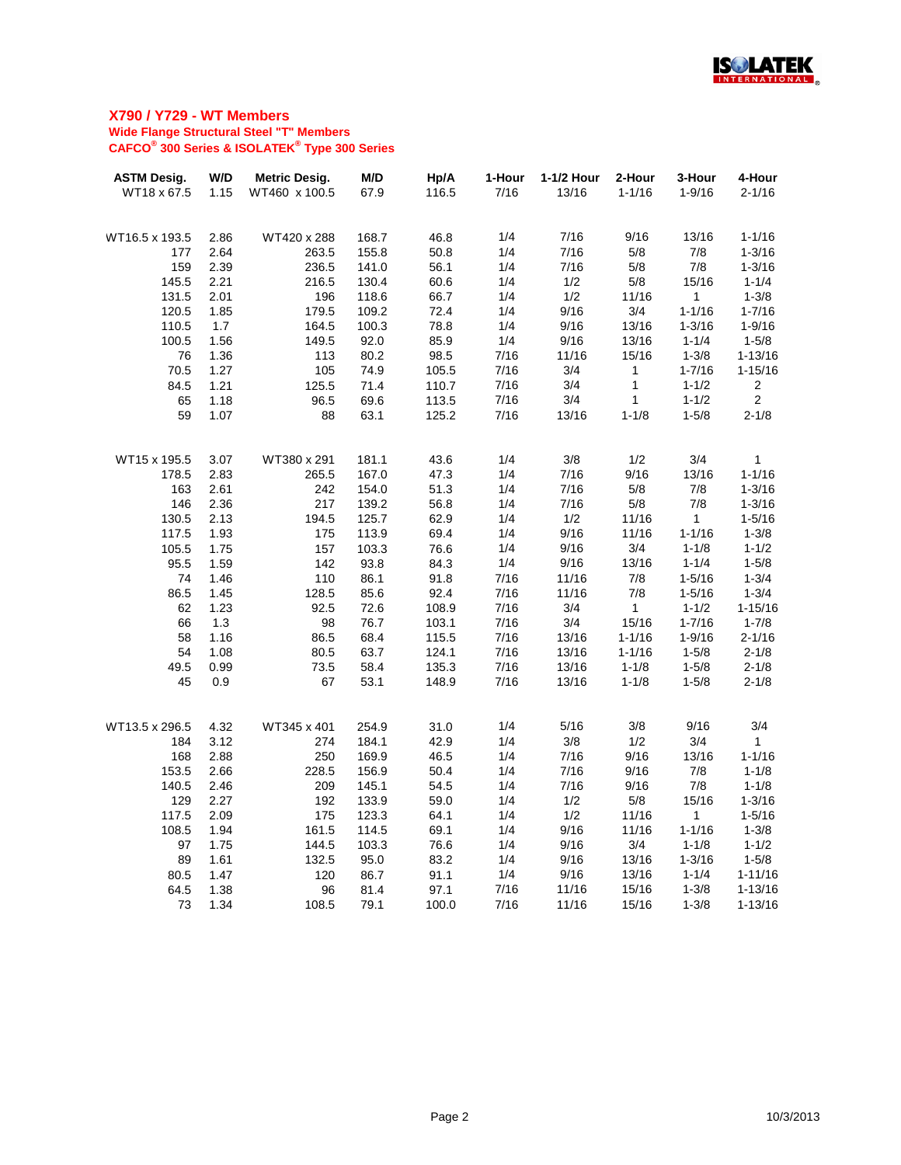

| <b>ASTM Desig.</b> | W/D  | <b>Metric Desig.</b> | M/D   | Hp/A  | 1-Hour | 1-1/2 Hour | 2-Hour       | 3-Hour       | 4-Hour         |
|--------------------|------|----------------------|-------|-------|--------|------------|--------------|--------------|----------------|
| WT18 x 67.5        | 1.15 | WT460 x 100.5        | 67.9  | 116.5 | 7/16   | 13/16      | $1 - 1/16$   | $1 - 9/16$   | $2 - 1/16$     |
|                    |      |                      |       |       |        |            |              |              |                |
| WT16.5 x 193.5     | 2.86 | WT420 x 288          | 168.7 | 46.8  | 1/4    | 7/16       | 9/16         | 13/16        | $1 - 1/16$     |
| 177                | 2.64 | 263.5                | 155.8 | 50.8  | 1/4    | 7/16       | 5/8          | 7/8          | $1 - 3/16$     |
| 159                | 2.39 | 236.5                | 141.0 | 56.1  | 1/4    | 7/16       | 5/8          | 7/8          | $1 - 3/16$     |
| 145.5              | 2.21 | 216.5                | 130.4 | 60.6  | 1/4    | 1/2        | 5/8          | 15/16        | $1 - 1/4$      |
| 131.5              | 2.01 | 196                  | 118.6 | 66.7  | 1/4    | 1/2        | 11/16        | 1            | $1 - 3/8$      |
| 120.5              | 1.85 | 179.5                | 109.2 | 72.4  | 1/4    | 9/16       | 3/4          | $1 - 1/16$   | $1 - 7/16$     |
| 110.5              | 1.7  | 164.5                | 100.3 | 78.8  | 1/4    | 9/16       | 13/16        | $1 - 3/16$   | $1 - 9/16$     |
| 100.5              | 1.56 | 149.5                | 92.0  | 85.9  | 1/4    | 9/16       | 13/16        | $1 - 1/4$    | $1 - 5/8$      |
| 76                 | 1.36 | 113                  | 80.2  | 98.5  | 7/16   | 11/16      | 15/16        | $1 - 3/8$    | $1 - 13/16$    |
| 70.5               | 1.27 | 105                  | 74.9  | 105.5 | 7/16   | 3/4        | $\mathbf 1$  | $1 - 7/16$   | $1 - 15/16$    |
| 84.5               | 1.21 | 125.5                | 71.4  | 110.7 | 7/16   | 3/4        | $\mathbf{1}$ | $1 - 1/2$    | $\overline{2}$ |
| 65                 | 1.18 | 96.5                 | 69.6  | 113.5 | 7/16   | 3/4        | $\mathbf 1$  | $1 - 1/2$    | $\overline{2}$ |
| 59                 | 1.07 | 88                   | 63.1  | 125.2 | 7/16   | 13/16      | $1 - 1/8$    | $1 - 5/8$    | $2 - 1/8$      |
|                    |      |                      |       |       |        |            |              |              |                |
| WT15 x 195.5       | 3.07 | WT380 x 291          | 181.1 | 43.6  | 1/4    | 3/8        | 1/2          | 3/4          | 1              |
| 178.5              | 2.83 | 265.5                | 167.0 | 47.3  | 1/4    | 7/16       | 9/16         | 13/16        | $1 - 1/16$     |
| 163                | 2.61 | 242                  | 154.0 | 51.3  | 1/4    | 7/16       | 5/8          | 7/8          | $1 - 3/16$     |
| 146                | 2.36 | 217                  | 139.2 | 56.8  | 1/4    | 7/16       | 5/8          | 7/8          | $1 - 3/16$     |
| 130.5              | 2.13 | 194.5                | 125.7 | 62.9  | 1/4    | 1/2        | 11/16        | $\mathbf{1}$ | $1 - 5/16$     |
| 117.5              | 1.93 | 175                  | 113.9 | 69.4  | 1/4    | 9/16       | 11/16        | $1 - 1/16$   | $1 - 3/8$      |
| 105.5              | 1.75 | 157                  | 103.3 | 76.6  | 1/4    | 9/16       | 3/4          | $1 - 1/8$    | $1 - 1/2$      |
| 95.5               | 1.59 | 142                  | 93.8  | 84.3  | 1/4    | 9/16       | 13/16        | $1 - 1/4$    | $1 - 5/8$      |
| 74                 | 1.46 | 110                  | 86.1  | 91.8  | 7/16   | 11/16      | 7/8          | $1 - 5/16$   | $1 - 3/4$      |
| 86.5               | 1.45 | 128.5                | 85.6  | 92.4  | 7/16   | 11/16      | 7/8          | $1 - 5/16$   | $1 - 3/4$      |
| 62                 | 1.23 | 92.5                 | 72.6  | 108.9 | 7/16   | 3/4        | $\mathbf{1}$ | $1 - 1/2$    | $1 - 15/16$    |
| 66                 | 1.3  | 98                   | 76.7  | 103.1 | 7/16   | 3/4        | 15/16        | $1 - 7/16$   | $1 - 7/8$      |
| 58                 | 1.16 | 86.5                 | 68.4  | 115.5 | 7/16   | 13/16      | $1 - 1/16$   | $1 - 9/16$   | $2 - 1/16$     |
| 54                 | 1.08 | 80.5                 | 63.7  | 124.1 | 7/16   | 13/16      | $1 - 1/16$   | $1 - 5/8$    | $2 - 1/8$      |
| 49.5               | 0.99 | 73.5                 | 58.4  | 135.3 | 7/16   | 13/16      | $1 - 1/8$    | $1 - 5/8$    | $2 - 1/8$      |
| 45                 | 0.9  | 67                   | 53.1  | 148.9 | 7/16   | 13/16      | $1 - 1/8$    | $1 - 5/8$    | $2 - 1/8$      |
|                    |      |                      |       |       |        |            |              |              |                |
| WT13.5 x 296.5     | 4.32 | WT345 x 401          | 254.9 | 31.0  | 1/4    | 5/16       | 3/8          | 9/16         | 3/4            |
| 184                | 3.12 | 274                  | 184.1 | 42.9  | 1/4    | 3/8        | 1/2          | 3/4          | $\mathbf 1$    |
| 168                | 2.88 | 250                  | 169.9 | 46.5  | 1/4    | 7/16       | 9/16         | 13/16        | $1 - 1/16$     |
| 153.5              | 2.66 | 228.5                | 156.9 | 50.4  | 1/4    | 7/16       | 9/16         | 7/8          | $1 - 1/8$      |
| 140.5              | 2.46 | 209                  | 145.1 | 54.5  | 1/4    | 7/16       | 9/16         | 7/8          | $1 - 1/8$      |
| 129                | 2.27 | 192                  | 133.9 | 59.0  | 1/4    | 1/2        | 5/8          | 15/16        | $1 - 3/16$     |
| 117.5              | 2.09 | 175                  | 123.3 | 64.1  | 1/4    | 1/2        | 11/16        | 1            | $1 - 5/16$     |
| 108.5              | 1.94 | 161.5                | 114.5 | 69.1  | 1/4    | 9/16       | 11/16        | $1 - 1/16$   | $1 - 3/8$      |
| 97                 | 1.75 | 144.5                | 103.3 | 76.6  | 1/4    | 9/16       | 3/4          | $1 - 1/8$    | $1 - 1/2$      |
| 89                 | 1.61 | 132.5                | 95.0  | 83.2  | 1/4    | 9/16       | 13/16        | $1 - 3/16$   | $1 - 5/8$      |
| 80.5               | 1.47 | 120                  | 86.7  | 91.1  | 1/4    | 9/16       | 13/16        | $1 - 1/4$    | $1 - 11/16$    |
| 64.5               | 1.38 | 96                   | 81.4  | 97.1  | 7/16   | 11/16      | 15/16        | $1 - 3/8$    | $1 - 13/16$    |
| 73                 | 1.34 | 108.5                | 79.1  | 100.0 | 7/16   | 11/16      | 15/16        | $1 - 3/8$    | $1 - 13/16$    |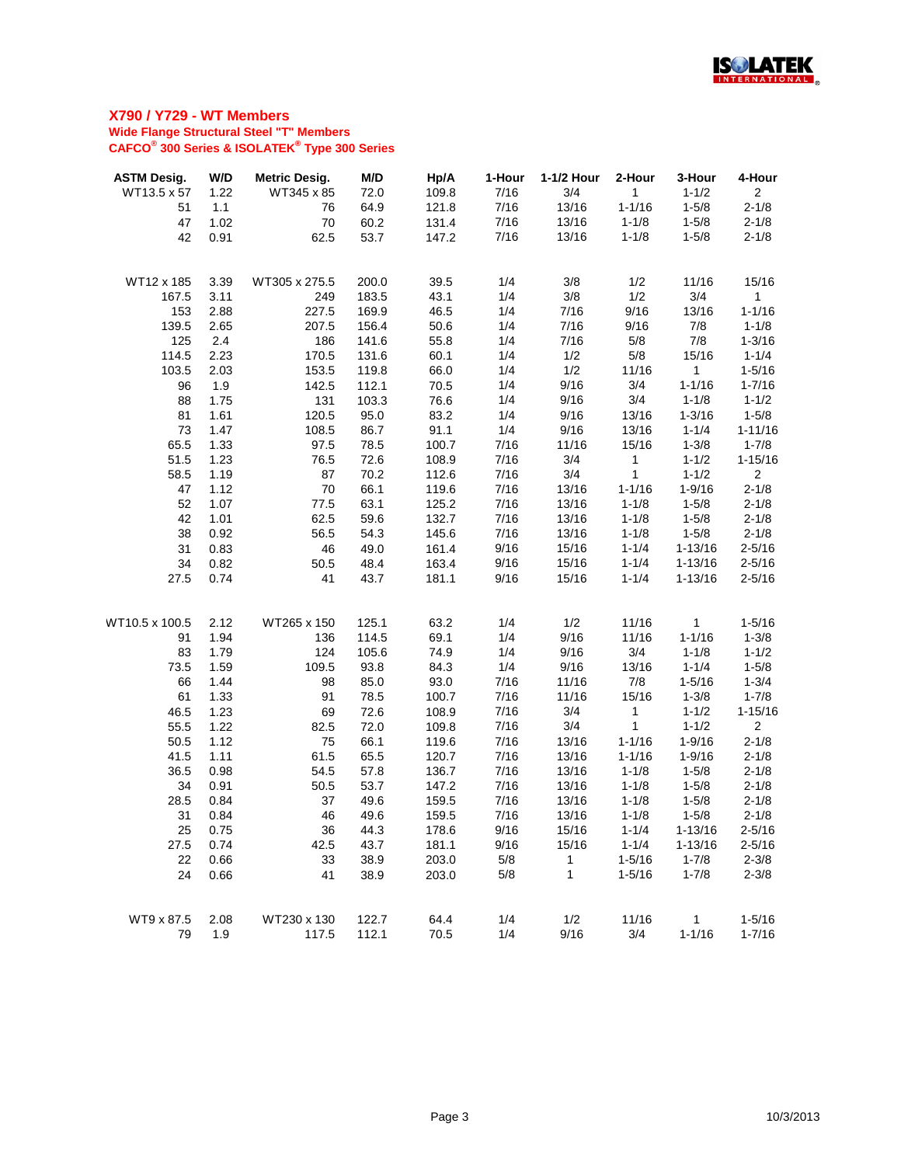

| <b>ASTM Desig.</b> | W/D  | <b>Metric Desig.</b> | M/D   | Hp/A  | 1-Hour | 1-1/2 Hour | 2-Hour       | 3-Hour       | 4-Hour         |
|--------------------|------|----------------------|-------|-------|--------|------------|--------------|--------------|----------------|
| WT13.5 x 57        | 1.22 | WT345 x 85           | 72.0  | 109.8 | 7/16   | 3/4        | 1            | $1 - 1/2$    | $\overline{2}$ |
| 51                 | 1.1  | 76                   | 64.9  | 121.8 | 7/16   | 13/16      | $1 - 1/16$   | $1 - 5/8$    | $2 - 1/8$      |
| 47                 | 1.02 | 70                   | 60.2  | 131.4 | 7/16   | 13/16      | $1 - 1/8$    | $1 - 5/8$    | $2 - 1/8$      |
| 42                 | 0.91 | 62.5                 | 53.7  | 147.2 | 7/16   | 13/16      | $1 - 1/8$    | $1 - 5/8$    | $2 - 1/8$      |
|                    |      |                      |       |       |        |            |              |              |                |
| WT12 x 185         | 3.39 | WT305 x 275.5        | 200.0 | 39.5  | 1/4    | 3/8        | 1/2          | 11/16        | 15/16          |
| 167.5              | 3.11 | 249                  | 183.5 | 43.1  | 1/4    | 3/8        | 1/2          | 3/4          | 1              |
| 153                | 2.88 | 227.5                | 169.9 | 46.5  | 1/4    | 7/16       | 9/16         | 13/16        | $1 - 1/16$     |
| 139.5              | 2.65 | 207.5                | 156.4 | 50.6  | 1/4    | 7/16       | 9/16         | 7/8          | $1 - 1/8$      |
| 125                | 2.4  | 186                  | 141.6 | 55.8  | 1/4    | 7/16       | 5/8          | 7/8          | $1 - 3/16$     |
| 114.5              | 2.23 | 170.5                | 131.6 | 60.1  | 1/4    | 1/2        | 5/8          | 15/16        | $1 - 1/4$      |
| 103.5              | 2.03 | 153.5                | 119.8 | 66.0  | 1/4    | 1/2        | 11/16        | $\mathbf{1}$ | $1 - 5/16$     |
| 96                 | 1.9  | 142.5                | 112.1 | 70.5  | 1/4    | 9/16       | 3/4          | $1 - 1/16$   | $1 - 7/16$     |
| 88                 | 1.75 | 131                  | 103.3 | 76.6  | 1/4    | 9/16       | 3/4          | $1 - 1/8$    | $1 - 1/2$      |
| 81                 | 1.61 | 120.5                | 95.0  | 83.2  | 1/4    | 9/16       | 13/16        | $1 - 3/16$   | $1 - 5/8$      |
| 73                 | 1.47 | 108.5                | 86.7  | 91.1  | 1/4    | 9/16       | 13/16        | $1 - 1/4$    | $1 - 11/16$    |
| 65.5               | 1.33 | 97.5                 | 78.5  | 100.7 | 7/16   | 11/16      | 15/16        | $1 - 3/8$    | $1 - 7/8$      |
| 51.5               | 1.23 | 76.5                 | 72.6  | 108.9 | 7/16   | 3/4        | $\mathbf{1}$ | $1 - 1/2$    | $1 - 15/16$    |
| 58.5               | 1.19 | 87                   | 70.2  | 112.6 | 7/16   | 3/4        | 1            | $1 - 1/2$    | $\overline{2}$ |
| 47                 | 1.12 | 70                   | 66.1  | 119.6 | 7/16   | 13/16      | $1 - 1/16$   | $1 - 9/16$   | $2 - 1/8$      |
| 52                 | 1.07 | 77.5                 | 63.1  | 125.2 | 7/16   | 13/16      | $1 - 1/8$    | $1 - 5/8$    | $2 - 1/8$      |
| 42                 | 1.01 | 62.5                 | 59.6  | 132.7 | 7/16   | 13/16      | $1 - 1/8$    | $1 - 5/8$    | $2 - 1/8$      |
| 38                 | 0.92 | 56.5                 | 54.3  | 145.6 | 7/16   | 13/16      | $1 - 1/8$    | $1 - 5/8$    | $2 - 1/8$      |
| 31                 | 0.83 | 46                   | 49.0  | 161.4 | 9/16   | 15/16      | $1 - 1/4$    | $1 - 13/16$  | $2 - 5/16$     |
| 34                 | 0.82 | 50.5                 | 48.4  | 163.4 | 9/16   | 15/16      | $1 - 1/4$    | $1 - 13/16$  | $2 - 5/16$     |
| 27.5               | 0.74 | 41                   | 43.7  | 181.1 | 9/16   | 15/16      | $1 - 1/4$    | $1 - 13/16$  | $2 - 5/16$     |
|                    |      |                      |       |       |        |            |              |              |                |
| WT10.5 x 100.5     | 2.12 | WT265 x 150          | 125.1 | 63.2  | 1/4    | 1/2        | 11/16        | 1            | $1 - 5/16$     |
| 91                 | 1.94 | 136                  | 114.5 | 69.1  | 1/4    | 9/16       | 11/16        | $1 - 1/16$   | $1 - 3/8$      |
| 83                 | 1.79 | 124                  | 105.6 | 74.9  | 1/4    | 9/16       | 3/4          | $1 - 1/8$    | $1 - 1/2$      |
| 73.5               | 1.59 | 109.5                | 93.8  | 84.3  | 1/4    | 9/16       | 13/16        | $1 - 1/4$    | $1 - 5/8$      |
| 66                 | 1.44 | 98                   | 85.0  | 93.0  | 7/16   | 11/16      | 7/8          | $1 - 5/16$   | $1 - 3/4$      |
| 61                 | 1.33 | 91                   | 78.5  | 100.7 | 7/16   | 11/16      | 15/16        | $1 - 3/8$    | $1 - 7/8$      |
| 46.5               | 1.23 | 69                   | 72.6  | 108.9 | 7/16   | 3/4        | 1            | $1 - 1/2$    | $1 - 15/16$    |
| 55.5               | 1.22 | 82.5                 | 72.0  | 109.8 | 7/16   | 3/4        | 1            | $1 - 1/2$    | $\overline{2}$ |
| 50.5               | 1.12 | 75                   | 66.1  | 119.6 | 7/16   | 13/16      | $1 - 1/16$   | $1 - 9/16$   | $2 - 1/8$      |
| 41.5               | 1.11 | 61.5                 | 65.5  | 120.7 | 7/16   | 13/16      | $1 - 1/16$   | $1 - 9/16$   | $2 - 1/8$      |
| 36.5               | 0.98 | 54.5                 | 57.8  | 136.7 | 7/16   | 13/16      | $1 - 1/8$    | $1 - 5/8$    | $2 - 1/8$      |
| 34                 | 0.91 | 50.5                 | 53.7  | 147.2 | 7/16   | 13/16      | $1 - 1/8$    | $1 - 5/8$    | $2 - 1/8$      |
| 28.5               | 0.84 | 37                   | 49.6  | 159.5 | 7/16   | 13/16      | $1 - 1/8$    | $1 - 5/8$    | $2 - 1/8$      |
| 31                 | 0.84 | 46                   | 49.6  | 159.5 | 7/16   | 13/16      | $1 - 1/8$    | $1 - 5/8$    | $2 - 1/8$      |
| 25                 | 0.75 | 36                   | 44.3  | 178.6 | 9/16   | 15/16      | $1 - 1/4$    | $1 - 13/16$  | $2 - 5/16$     |
| 27.5               | 0.74 | 42.5                 | 43.7  | 181.1 | 9/16   | 15/16      | $1 - 1/4$    | $1 - 13/16$  | $2 - 5/16$     |
| 22                 | 0.66 | 33                   | 38.9  | 203.0 | 5/8    | 1          | $1 - 5/16$   | $1 - 7/8$    | $2 - 3/8$      |
| 24                 | 0.66 | 41                   | 38.9  | 203.0 | 5/8    | 1          | $1 - 5/16$   | $1 - 7/8$    | $2 - 3/8$      |
| WT9 x 87.5         | 2.08 | WT230 x 130          | 122.7 | 64.4  | 1/4    | 1/2        | 11/16        | 1            | $1 - 5/16$     |
| 79                 | 1.9  | 117.5                | 112.1 | 70.5  | 1/4    | 9/16       | 3/4          | $1 - 1/16$   | $1 - 7/16$     |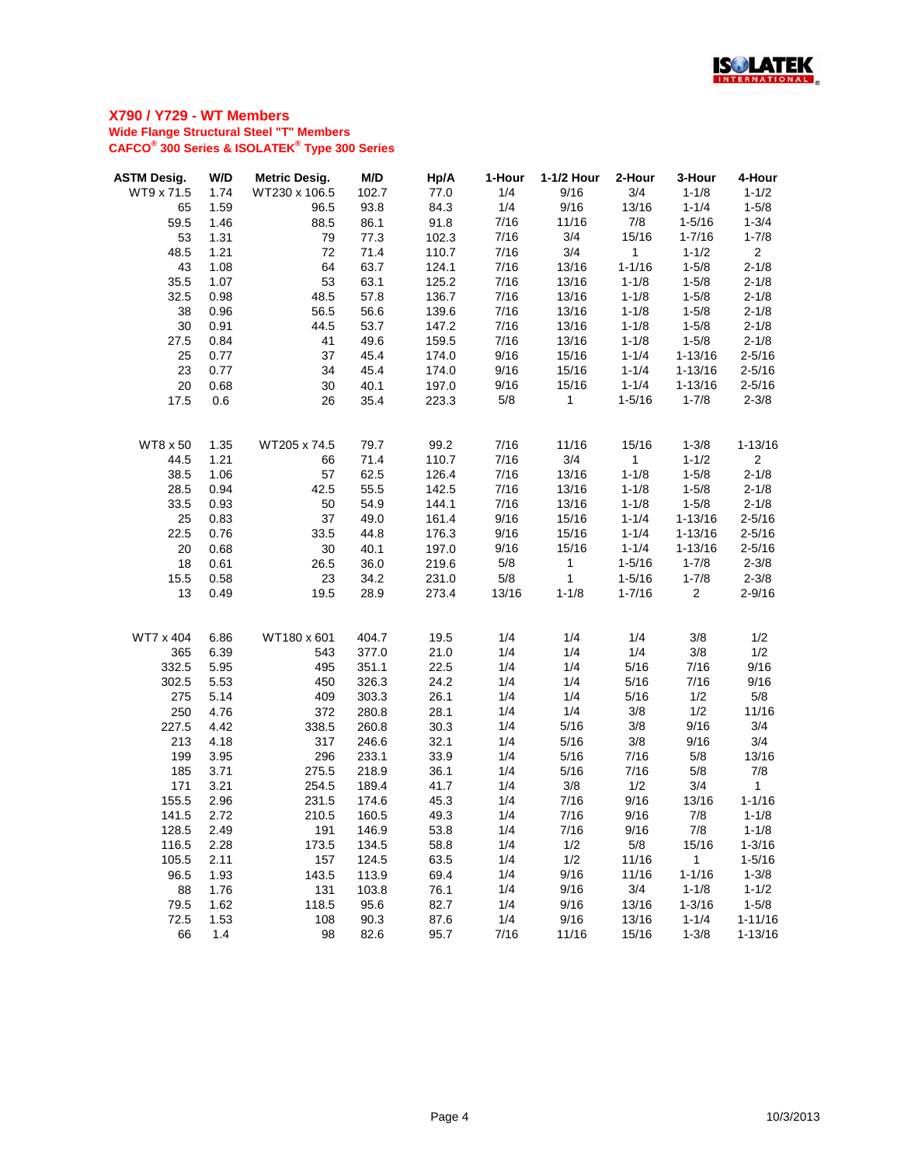

| <b>ASTM Desig.</b> | W/D  | <b>Metric Desig.</b> | M/D   | Hp/A  | 1-Hour | 1-1/2 Hour   | 2-Hour       | 3-Hour         | 4-Hour         |
|--------------------|------|----------------------|-------|-------|--------|--------------|--------------|----------------|----------------|
| WT9 x 71.5         | 1.74 | WT230 x 106.5        | 102.7 | 77.0  | 1/4    | 9/16         | 3/4          | $1 - 1/8$      | $1 - 1/2$      |
| 65                 | 1.59 | 96.5                 | 93.8  | 84.3  | 1/4    | 9/16         | 13/16        | $1 - 1/4$      | $1 - 5/8$      |
| 59.5               | 1.46 | 88.5                 | 86.1  | 91.8  | 7/16   | 11/16        | 7/8          | $1 - 5/16$     | $1 - 3/4$      |
| 53                 | 1.31 | 79                   | 77.3  | 102.3 | 7/16   | 3/4          | 15/16        | $1 - 7/16$     | $1 - 7/8$      |
| 48.5               | 1.21 | 72                   | 71.4  | 110.7 | 7/16   | 3/4          | $\mathbf 1$  | $1 - 1/2$      | 2 <sup>7</sup> |
| 43                 | 1.08 | 64                   | 63.7  | 124.1 | 7/16   | 13/16        | $1 - 1/16$   | $1 - 5/8$      | $2 - 1/8$      |
| 35.5               | 1.07 | 53                   | 63.1  | 125.2 | 7/16   | 13/16        | $1 - 1/8$    | $1 - 5/8$      | $2 - 1/8$      |
| 32.5               | 0.98 | 48.5                 | 57.8  | 136.7 | 7/16   | 13/16        | $1 - 1/8$    | $1 - 5/8$      | $2 - 1/8$      |
| 38                 | 0.96 | 56.5                 | 56.6  | 139.6 | 7/16   | 13/16        | $1 - 1/8$    | $1 - 5/8$      | $2 - 1/8$      |
| 30                 | 0.91 | 44.5                 | 53.7  | 147.2 | 7/16   | 13/16        | $1 - 1/8$    | $1 - 5/8$      | $2 - 1/8$      |
| 27.5               | 0.84 | 41                   | 49.6  | 159.5 | 7/16   | 13/16        | $1 - 1/8$    | $1 - 5/8$      | $2 - 1/8$      |
| 25                 | 0.77 | 37                   | 45.4  | 174.0 | 9/16   | 15/16        | $1 - 1/4$    | $1 - 13/16$    | $2 - 5/16$     |
| 23                 | 0.77 | 34                   | 45.4  | 174.0 | 9/16   | 15/16        | $1 - 1/4$    | $1 - 13/16$    | $2 - 5/16$     |
| 20                 | 0.68 | 30                   | 40.1  | 197.0 | 9/16   | 15/16        | $1 - 1/4$    | $1 - 13/16$    | $2 - 5/16$     |
| 17.5               | 0.6  | 26                   | 35.4  | 223.3 | 5/8    | $\mathbf 1$  | $1 - 5/16$   | $1 - 7/8$      | $2 - 3/8$      |
|                    |      |                      |       |       |        |              |              |                |                |
| <b>WT8 x 50</b>    | 1.35 | WT205 x 74.5         | 79.7  | 99.2  | 7/16   | 11/16        | 15/16        | $1 - 3/8$      | $1 - 13/16$    |
| 44.5               | 1.21 | 66                   | 71.4  | 110.7 | 7/16   | 3/4          | $\mathbf{1}$ | $1 - 1/2$      | $\overline{2}$ |
| 38.5               | 1.06 | 57                   | 62.5  | 126.4 | 7/16   | 13/16        | $1 - 1/8$    | $1 - 5/8$      | $2 - 1/8$      |
| 28.5               | 0.94 | 42.5                 | 55.5  | 142.5 | 7/16   | 13/16        | $1 - 1/8$    | $1 - 5/8$      | $2 - 1/8$      |
| 33.5               | 0.93 | 50                   | 54.9  | 144.1 | 7/16   | 13/16        | $1 - 1/8$    | $1 - 5/8$      | $2 - 1/8$      |
| 25                 | 0.83 | 37                   | 49.0  | 161.4 | 9/16   | 15/16        | $1 - 1/4$    | $1 - 13/16$    | $2 - 5/16$     |
| 22.5               | 0.76 | 33.5                 | 44.8  | 176.3 | 9/16   | 15/16        | $1 - 1/4$    | $1 - 13/16$    | $2 - 5/16$     |
| 20                 | 0.68 | 30                   | 40.1  | 197.0 | 9/16   | 15/16        | $1 - 1/4$    | $1 - 13/16$    | $2 - 5/16$     |
| 18                 | 0.61 | 26.5                 | 36.0  | 219.6 | 5/8    | $\mathbf{1}$ | $1 - 5/16$   | $1 - 7/8$      | $2 - 3/8$      |
| 15.5               | 0.58 | 23                   | 34.2  | 231.0 | 5/8    | $\mathbf{1}$ | $1 - 5/16$   | $1 - 7/8$      | $2 - 3/8$      |
| 13                 | 0.49 | 19.5                 | 28.9  | 273.4 | 13/16  | $1 - 1/8$    | $1 - 7/16$   | $\overline{2}$ | $2 - 9/16$     |
|                    |      |                      |       |       |        |              |              |                |                |
| WT7 x 404          | 6.86 | WT180 x 601          | 404.7 | 19.5  | 1/4    | 1/4          | 1/4          | 3/8            | 1/2            |
| 365                | 6.39 | 543                  | 377.0 | 21.0  | 1/4    | 1/4          | 1/4          | 3/8            | 1/2            |
| 332.5              | 5.95 | 495                  | 351.1 | 22.5  | 1/4    | 1/4          | 5/16         | 7/16           | 9/16           |
| 302.5              | 5.53 | 450                  | 326.3 | 24.2  | 1/4    | 1/4          | 5/16         | 7/16           | 9/16           |
| 275                | 5.14 | 409                  | 303.3 | 26.1  | 1/4    | 1/4          | 5/16         | 1/2            | 5/8            |
| 250                | 4.76 | 372                  | 280.8 | 28.1  | 1/4    | 1/4          | 3/8          | 1/2            | 11/16          |
| 227.5              | 4.42 | 338.5                | 260.8 | 30.3  | 1/4    | 5/16         | 3/8          | 9/16           | 3/4            |
| 213                | 4.18 | 317                  | 246.6 | 32.1  | 1/4    | 5/16         | 3/8          | 9/16           | 3/4            |
| 199                | 3.95 | 296                  | 233.1 | 33.9  | 1/4    | 5/16         | 7/16         | 5/8            | 13/16          |
| 185                | 3.71 | 275.5                | 218.9 | 36.1  | 1/4    | 5/16         | 7/16         | 5/8            | 7/8            |
| 171                | 3.21 | 254.5                | 189.4 | 41.7  | 1/4    | 3/8          | 1/2          | 3/4            | $\mathbf{1}$   |
| 155.5              | 2.96 | 231.5                | 174.6 | 45.3  | 1/4    | 7/16         | 9/16         | 13/16          | $1 - 1/16$     |
| 141.5              | 2.72 | 210.5                | 160.5 | 49.3  | 1/4    | 7/16         | 9/16         | 7/8            | $1 - 1/8$      |
| 128.5              | 2.49 | 191                  | 146.9 | 53.8  | 1/4    | 7/16         | 9/16         | 7/8            | $1 - 1/8$      |
| 116.5              | 2.28 | 173.5                | 134.5 | 58.8  | 1/4    | 1/2          | 5/8          | 15/16          | $1 - 3/16$     |
| 105.5              | 2.11 | 157                  | 124.5 | 63.5  | 1/4    | 1/2          | 11/16        | $\mathbf{1}$   | $1 - 5/16$     |
| 96.5               | 1.93 | 143.5                | 113.9 | 69.4  | 1/4    | 9/16         | 11/16        | $1 - 1/16$     | $1 - 3/8$      |
| 88                 | 1.76 | 131                  | 103.8 | 76.1  | 1/4    | 9/16         | 3/4          | $1 - 1/8$      | $1 - 1/2$      |
| 79.5               | 1.62 | 118.5                | 95.6  | 82.7  | 1/4    | 9/16         | 13/16        | $1 - 3/16$     | $1 - 5/8$      |
| 72.5               | 1.53 | 108                  | 90.3  | 87.6  | 1/4    | 9/16         | 13/16        | $1 - 1/4$      | $1 - 11/16$    |
| 66                 | 1.4  | 98                   | 82.6  | 95.7  | 7/16   | 11/16        | 15/16        | $1 - 3/8$      | $1 - 13/16$    |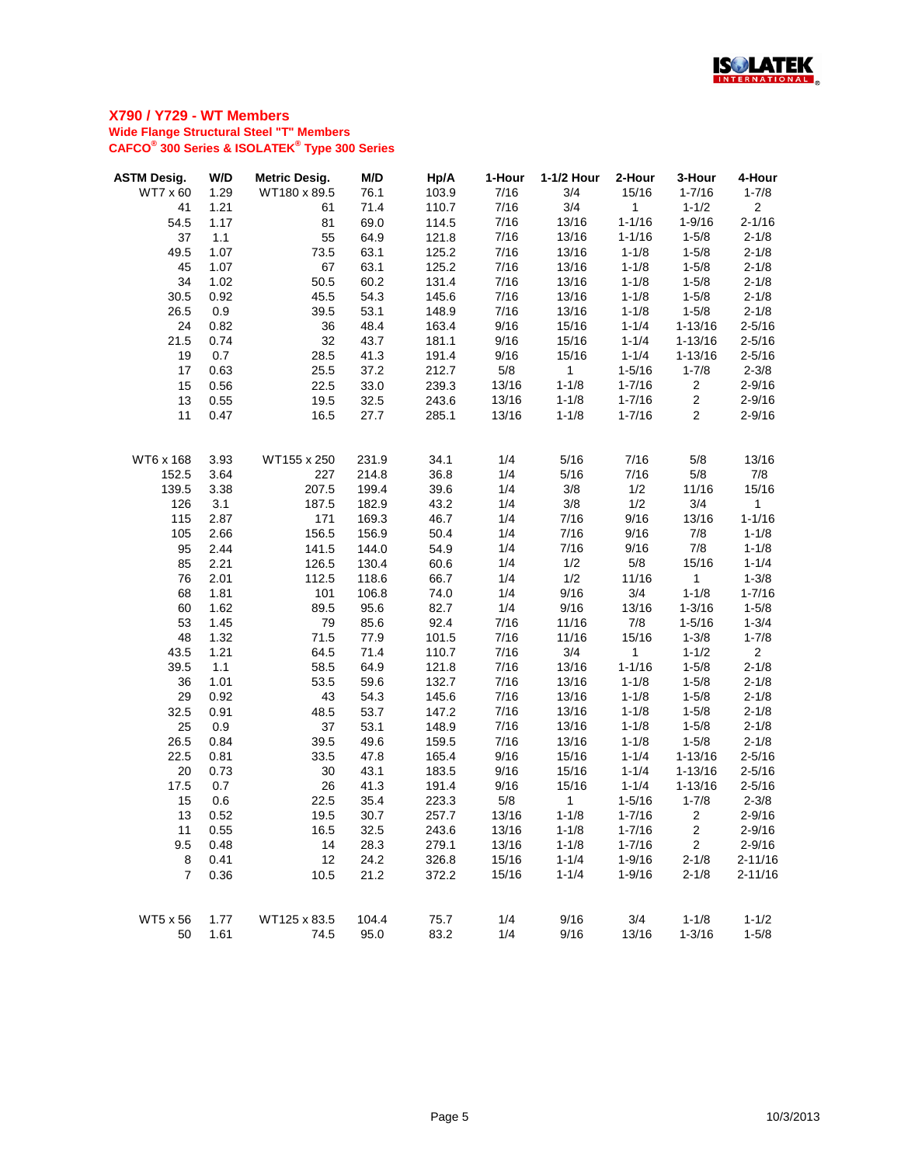

| <b>ASTM Desig.</b> | W/D  | <b>Metric Desig.</b> | M/D   | Hp/A  | 1-Hour | 1-1/2 Hour   | 2-Hour      | 3-Hour           | 4-Hour         |
|--------------------|------|----------------------|-------|-------|--------|--------------|-------------|------------------|----------------|
| WT7 x 60           | 1.29 | WT180 x 89.5         | 76.1  | 103.9 | 7/16   | 3/4          | 15/16       | $1 - 7/16$       | $1 - 7/8$      |
| 41                 | 1.21 | 61                   | 71.4  | 110.7 | 7/16   | 3/4          | $\mathbf 1$ | $1 - 1/2$        | 2 <sup>1</sup> |
| 54.5               | 1.17 | 81                   | 69.0  | 114.5 | 7/16   | 13/16        | $1 - 1/16$  | $1 - 9/16$       | $2 - 1/16$     |
| 37                 | 1.1  | 55                   | 64.9  | 121.8 | 7/16   | 13/16        | $1 - 1/16$  | $1 - 5/8$        | $2 - 1/8$      |
| 49.5               | 1.07 | 73.5                 | 63.1  | 125.2 | 7/16   | 13/16        | $1 - 1/8$   | $1 - 5/8$        | $2 - 1/8$      |
| 45                 | 1.07 | 67                   | 63.1  | 125.2 | 7/16   | 13/16        | $1 - 1/8$   | $1 - 5/8$        | $2 - 1/8$      |
| 34                 | 1.02 | 50.5                 | 60.2  | 131.4 | 7/16   | 13/16        | $1 - 1/8$   | $1 - 5/8$        | $2 - 1/8$      |
| 30.5               | 0.92 | 45.5                 | 54.3  | 145.6 | 7/16   | 13/16        | $1 - 1/8$   | $1 - 5/8$        | $2 - 1/8$      |
| 26.5               | 0.9  | 39.5                 | 53.1  | 148.9 | 7/16   | 13/16        | $1 - 1/8$   | $1 - 5/8$        | $2 - 1/8$      |
| 24                 | 0.82 | 36                   | 48.4  | 163.4 | 9/16   | 15/16        | $1 - 1/4$   | $1 - 13/16$      | $2 - 5/16$     |
| 21.5               | 0.74 | 32                   | 43.7  | 181.1 | 9/16   | 15/16        | $1 - 1/4$   | $1 - 13/16$      | $2 - 5/16$     |
| 19                 | 0.7  | 28.5                 | 41.3  | 191.4 | 9/16   | 15/16        | $1 - 1/4$   | $1 - 13/16$      | $2 - 5/16$     |
| 17                 | 0.63 | 25.5                 | 37.2  | 212.7 | 5/8    | $\mathbf 1$  | $1 - 5/16$  | $1 - 7/8$        | $2 - 3/8$      |
| 15                 | 0.56 | 22.5                 | 33.0  | 239.3 | 13/16  | $1 - 1/8$    | $1 - 7/16$  | $\overline{2}$   | $2 - 9/16$     |
| 13                 | 0.55 | 19.5                 | 32.5  | 243.6 | 13/16  | $1 - 1/8$    | $1 - 7/16$  | $\overline{2}$   | $2 - 9/16$     |
| 11                 | 0.47 | 16.5                 | 27.7  | 285.1 | 13/16  | $1 - 1/8$    | $1 - 7/16$  | $\overline{2}$   | $2 - 9/16$     |
|                    |      |                      |       |       |        |              |             |                  |                |
| WT6 x 168          | 3.93 | WT155 x 250          | 231.9 | 34.1  | 1/4    | 5/16         | 7/16        | 5/8              | 13/16          |
| 152.5              | 3.64 | 227                  | 214.8 | 36.8  | 1/4    | 5/16         | 7/16        | 5/8              | 7/8            |
| 139.5              | 3.38 | 207.5                | 199.4 | 39.6  | 1/4    | 3/8          | 1/2         | 11/16            | 15/16          |
| 126                | 3.1  | 187.5                | 182.9 | 43.2  | 1/4    | 3/8          | 1/2         | 3/4              | $\mathbf 1$    |
| 115                | 2.87 | 171                  | 169.3 | 46.7  | 1/4    | 7/16         | 9/16        | 13/16            | $1 - 1/16$     |
| 105                | 2.66 | 156.5                | 156.9 | 50.4  | 1/4    | 7/16         | 9/16        | 7/8              | $1 - 1/8$      |
| 95                 | 2.44 | 141.5                | 144.0 | 54.9  | 1/4    | 7/16         | 9/16        | 7/8              | $1 - 1/8$      |
| 85                 | 2.21 | 126.5                | 130.4 | 60.6  | 1/4    | 1/2          | 5/8         | 15/16            | $1 - 1/4$      |
| 76                 | 2.01 | 112.5                | 118.6 | 66.7  | 1/4    | 1/2          | 11/16       | $\mathbf{1}$     | $1 - 3/8$      |
| 68                 | 1.81 | 101                  | 106.8 | 74.0  | 1/4    | 9/16         | 3/4         | $1 - 1/8$        | $1 - 7/16$     |
| 60                 | 1.62 | 89.5                 | 95.6  | 82.7  | 1/4    | 9/16         | 13/16       | $1 - 3/16$       | $1 - 5/8$      |
| 53                 | 1.45 | 79                   | 85.6  | 92.4  | 7/16   | 11/16        | 7/8         | $1 - 5/16$       | $1 - 3/4$      |
| 48                 | 1.32 | 71.5                 | 77.9  | 101.5 | 7/16   | 11/16        | 15/16       | $1 - 3/8$        | $1 - 7/8$      |
| 43.5               | 1.21 | 64.5                 | 71.4  | 110.7 | 7/16   | 3/4          | $\mathbf 1$ | $1 - 1/2$        | 2 <sup>1</sup> |
| 39.5               | 1.1  | 58.5                 | 64.9  | 121.8 | 7/16   | 13/16        | $1 - 1/16$  | $1 - 5/8$        | $2 - 1/8$      |
| 36                 | 1.01 | 53.5                 | 59.6  | 132.7 | 7/16   | 13/16        | $1 - 1/8$   | $1 - 5/8$        | $2 - 1/8$      |
| 29                 | 0.92 | 43                   | 54.3  | 145.6 | 7/16   | 13/16        | $1 - 1/8$   | $1 - 5/8$        | $2 - 1/8$      |
| 32.5               | 0.91 | 48.5                 | 53.7  | 147.2 | 7/16   | 13/16        | $1 - 1/8$   | $1 - 5/8$        | $2 - 1/8$      |
| 25                 | 0.9  | 37                   | 53.1  | 148.9 | 7/16   | 13/16        | $1 - 1/8$   | $1 - 5/8$        | $2 - 1/8$      |
| 26.5               | 0.84 | 39.5                 | 49.6  | 159.5 | 7/16   | 13/16        | $1 - 1/8$   | $1 - 5/8$        | $2 - 1/8$      |
| 22.5               | 0.81 | 33.5                 | 47.8  | 165.4 | 9/16   | 15/16        | $1 - 1/4$   | $1 - 13/16$      | $2 - 5/16$     |
| 20                 | 0.73 | 30                   | 43.1  | 183.5 | 9/16   | 15/16        | $1 - 1/4$   | $1 - 13/16$      | $2 - 5/16$     |
| 17.5               | 0.7  | 26                   | 41.3  | 191.4 | 9/16   | 15/16        | $1 - 1/4$   | $1 - 13/16$      | $2 - 5/16$     |
| 15                 | 0.6  | 22.5                 | 35.4  | 223.3 | 5/8    | $\mathbf{1}$ | $1 - 5/16$  | $1 - 7/8$        | $2 - 3/8$      |
| 13                 | 0.52 | 19.5                 | 30.7  | 257.7 | 13/16  | $1 - 1/8$    | $1 - 7/16$  | $\overline{c}$   | $2 - 9/16$     |
| 11                 | 0.55 | 16.5                 | 32.5  | 243.6 | 13/16  | $1 - 1/8$    | $1 - 7/16$  | $\boldsymbol{2}$ | $2 - 9/16$     |
| 9.5                | 0.48 | 14                   | 28.3  | 279.1 | 13/16  | $1 - 1/8$    | $1 - 7/16$  | $\overline{2}$   | $2 - 9/16$     |
| 8                  | 0.41 | 12                   | 24.2  | 326.8 | 15/16  | $1 - 1/4$    | $1 - 9/16$  | $2 - 1/8$        | $2 - 11/16$    |
| $\overline{7}$     | 0.36 | 10.5                 | 21.2  | 372.2 | 15/16  | $1 - 1/4$    | $1 - 9/16$  | $2 - 1/8$        | $2 - 11/16$    |
| WT5 x 56           | 1.77 | WT125 x 83.5         | 104.4 | 75.7  | 1/4    | 9/16         | 3/4         | $1 - 1/8$        | $1 - 1/2$      |
| 50                 | 1.61 | 74.5                 | 95.0  | 83.2  | 1/4    | 9/16         | 13/16       | $1 - 3/16$       | $1 - 5/8$      |
|                    |      |                      |       |       |        |              |             |                  |                |